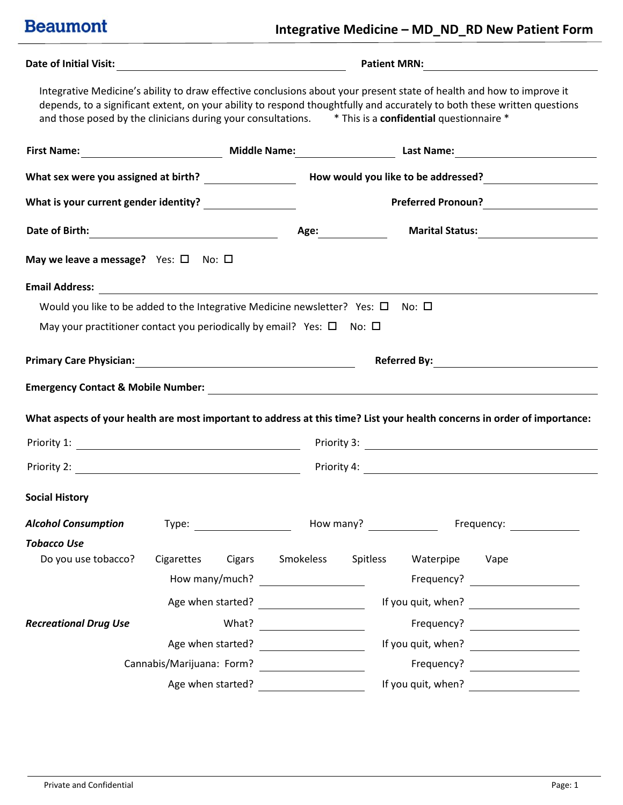### **Integrative Medicine – MD\_ND\_RD New Patient Form**

|                                                                                                                           |                                                                                                                                                                                                                                                                                                                                                            |                                                                                                                                                                                                                                      |           |                    | Patient MRN:                                                                                                                                                                                                                   |
|---------------------------------------------------------------------------------------------------------------------------|------------------------------------------------------------------------------------------------------------------------------------------------------------------------------------------------------------------------------------------------------------------------------------------------------------------------------------------------------------|--------------------------------------------------------------------------------------------------------------------------------------------------------------------------------------------------------------------------------------|-----------|--------------------|--------------------------------------------------------------------------------------------------------------------------------------------------------------------------------------------------------------------------------|
|                                                                                                                           | Integrative Medicine's ability to draw effective conclusions about your present state of health and how to improve it<br>depends, to a significant extent, on your ability to respond thoughtfully and accurately to both these written questions<br>and those posed by the clinicians during your consultations. * This is a confidential questionnaire * |                                                                                                                                                                                                                                      |           |                    |                                                                                                                                                                                                                                |
|                                                                                                                           |                                                                                                                                                                                                                                                                                                                                                            |                                                                                                                                                                                                                                      |           |                    |                                                                                                                                                                                                                                |
|                                                                                                                           |                                                                                                                                                                                                                                                                                                                                                            |                                                                                                                                                                                                                                      |           |                    |                                                                                                                                                                                                                                |
|                                                                                                                           |                                                                                                                                                                                                                                                                                                                                                            |                                                                                                                                                                                                                                      |           |                    | Preferred Pronoun?<br><u> </u>                                                                                                                                                                                                 |
|                                                                                                                           |                                                                                                                                                                                                                                                                                                                                                            |                                                                                                                                                                                                                                      |           |                    |                                                                                                                                                                                                                                |
| May we leave a message? Yes: $\square$ No: $\square$                                                                      |                                                                                                                                                                                                                                                                                                                                                            |                                                                                                                                                                                                                                      |           |                    |                                                                                                                                                                                                                                |
|                                                                                                                           |                                                                                                                                                                                                                                                                                                                                                            |                                                                                                                                                                                                                                      |           |                    |                                                                                                                                                                                                                                |
|                                                                                                                           | Would you like to be added to the Integrative Medicine newsletter? Yes: $\square$ No: $\square$                                                                                                                                                                                                                                                            |                                                                                                                                                                                                                                      |           |                    |                                                                                                                                                                                                                                |
|                                                                                                                           | May your practitioner contact you periodically by email? Yes: $\square$ No: $\square$                                                                                                                                                                                                                                                                      |                                                                                                                                                                                                                                      |           |                    |                                                                                                                                                                                                                                |
|                                                                                                                           |                                                                                                                                                                                                                                                                                                                                                            |                                                                                                                                                                                                                                      |           |                    |                                                                                                                                                                                                                                |
|                                                                                                                           |                                                                                                                                                                                                                                                                                                                                                            |                                                                                                                                                                                                                                      |           |                    |                                                                                                                                                                                                                                |
| What aspects of your health are most important to address at this time? List your health concerns in order of importance: |                                                                                                                                                                                                                                                                                                                                                            |                                                                                                                                                                                                                                      |           |                    |                                                                                                                                                                                                                                |
|                                                                                                                           |                                                                                                                                                                                                                                                                                                                                                            |                                                                                                                                                                                                                                      |           |                    |                                                                                                                                                                                                                                |
|                                                                                                                           |                                                                                                                                                                                                                                                                                                                                                            |                                                                                                                                                                                                                                      |           |                    |                                                                                                                                                                                                                                |
| <b>Social History</b>                                                                                                     |                                                                                                                                                                                                                                                                                                                                                            |                                                                                                                                                                                                                                      |           |                    |                                                                                                                                                                                                                                |
| <b>Alcohol Consumption</b>                                                                                                | Type: Type: Type: Type: Type: Type: Type: Type: Type: Type: Type: Type: Type: Type: Type: Type: Type: Type: Type: Type: Type: Type: Type: Type: Type: Type: Type: Type: Type: Type: Type: Type: Type: Type: Type: Type: Type:                                                                                                                              |                                                                                                                                                                                                                                      | How many? |                    | Frequency: The control of the control of the control of the control of the control of the control of the control of the control of the control of the control of the control of the control of the control of the control of t |
| <b>Tobacco Use</b>                                                                                                        |                                                                                                                                                                                                                                                                                                                                                            |                                                                                                                                                                                                                                      |           |                    |                                                                                                                                                                                                                                |
| Do you use tobacco?                                                                                                       | Cigarettes<br>Cigars                                                                                                                                                                                                                                                                                                                                       | Smokeless                                                                                                                                                                                                                            | Spitless  | Waterpipe Vape     |                                                                                                                                                                                                                                |
|                                                                                                                           | How many/much?                                                                                                                                                                                                                                                                                                                                             |                                                                                                                                                                                                                                      |           |                    |                                                                                                                                                                                                                                |
|                                                                                                                           | Age when started?                                                                                                                                                                                                                                                                                                                                          |                                                                                                                                                                                                                                      |           |                    | If you quit, when? $\qquad \qquad \qquad$                                                                                                                                                                                      |
| <b>Recreational Drug Use</b>                                                                                              | What?                                                                                                                                                                                                                                                                                                                                                      | <u> 1980 - Jan Barat, prima politik (</u>                                                                                                                                                                                            |           |                    | Frequency? _________________________                                                                                                                                                                                           |
|                                                                                                                           | Age when started?                                                                                                                                                                                                                                                                                                                                          | <u>and a strong strong part of the strong strong part of the strong strong strong strong strong strong strong strong strong strong strong strong strong strong strong strong strong strong strong strong strong strong strong st</u> |           |                    |                                                                                                                                                                                                                                |
|                                                                                                                           | Cannabis/Marijuana: Form?                                                                                                                                                                                                                                                                                                                                  |                                                                                                                                                                                                                                      |           |                    | Frequency?                                                                                                                                                                                                                     |
|                                                                                                                           | Age when started?                                                                                                                                                                                                                                                                                                                                          |                                                                                                                                                                                                                                      |           | If you quit, when? |                                                                                                                                                                                                                                |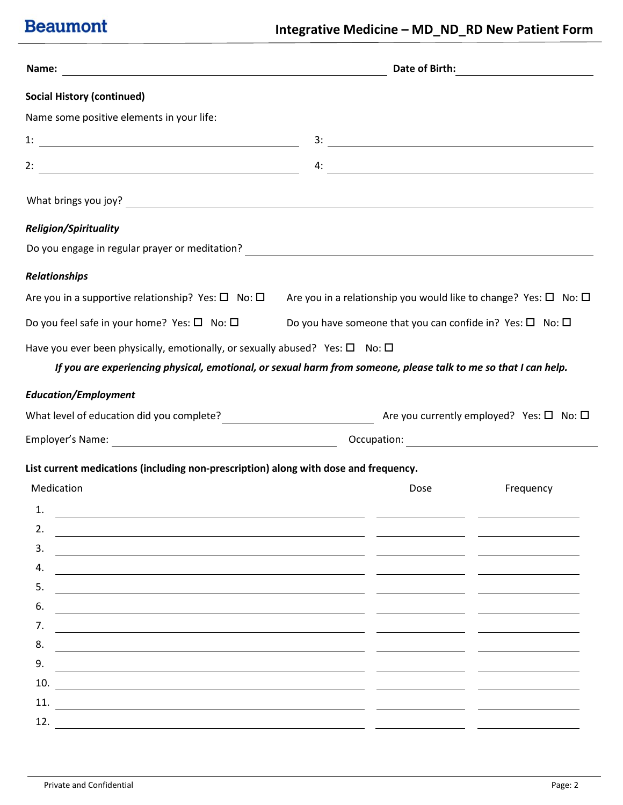| Name:                                                                                                                                                                                                                                          | Date of Birth: |                                                                                                                                                                                                                                     |
|------------------------------------------------------------------------------------------------------------------------------------------------------------------------------------------------------------------------------------------------|----------------|-------------------------------------------------------------------------------------------------------------------------------------------------------------------------------------------------------------------------------------|
| <b>Social History (continued)</b>                                                                                                                                                                                                              |                |                                                                                                                                                                                                                                     |
| Name some positive elements in your life:                                                                                                                                                                                                      |                |                                                                                                                                                                                                                                     |
|                                                                                                                                                                                                                                                |                |                                                                                                                                                                                                                                     |
| 2:                                                                                                                                                                                                                                             |                | $\overline{a}$ . The contract of the contract of the contract of the contract of the contract of the contract of the contract of the contract of the contract of the contract of the contract of the contract of the contract of th |
|                                                                                                                                                                                                                                                |                |                                                                                                                                                                                                                                     |
| <b>Religion/Spirituality</b>                                                                                                                                                                                                                   |                |                                                                                                                                                                                                                                     |
|                                                                                                                                                                                                                                                |                |                                                                                                                                                                                                                                     |
| <b>Relationships</b>                                                                                                                                                                                                                           |                |                                                                                                                                                                                                                                     |
| Are you in a supportive relationship? Yes: $\square$ No: $\square$                                                                                                                                                                             |                | Are you in a relationship you would like to change? Yes: $\square$ No: $\square$                                                                                                                                                    |
| Do you feel safe in your home? Yes: $\square$ No: $\square$                                                                                                                                                                                    |                | Do you have someone that you can confide in? Yes: $\square$ No: $\square$                                                                                                                                                           |
| Have you ever been physically, emotionally, or sexually abused? Yes: $\square$ No: $\square$<br>If you are experiencing physical, emotional, or sexual harm from someone, please talk to me so that I can help.<br><b>Education/Employment</b> |                |                                                                                                                                                                                                                                     |
| What level of education did you complete?<br>$\Box$ Are you currently employed? Yes: $\Box$ No: $\Box$                                                                                                                                         |                |                                                                                                                                                                                                                                     |
| Employer's Name: 1990 Manual Contract Contract Contract Contract Contract Contract Contract Contract Contract Contract Contract Contract Contract Contract Contract Contract Contract Contract Contract Contract Contract Cont                 |                |                                                                                                                                                                                                                                     |
|                                                                                                                                                                                                                                                |                |                                                                                                                                                                                                                                     |
| List current medications (including non-prescription) along with dose and frequency.                                                                                                                                                           |                |                                                                                                                                                                                                                                     |
| Medication                                                                                                                                                                                                                                     | Dose           | Frequency                                                                                                                                                                                                                           |
| 1.                                                                                                                                                                                                                                             |                |                                                                                                                                                                                                                                     |
| 2.<br>3.                                                                                                                                                                                                                                       |                |                                                                                                                                                                                                                                     |
| 4.                                                                                                                                                                                                                                             |                |                                                                                                                                                                                                                                     |
| 5.                                                                                                                                                                                                                                             |                |                                                                                                                                                                                                                                     |
| 6.                                                                                                                                                                                                                                             |                |                                                                                                                                                                                                                                     |
| 7.                                                                                                                                                                                                                                             |                |                                                                                                                                                                                                                                     |
| 8.                                                                                                                                                                                                                                             |                |                                                                                                                                                                                                                                     |
| 9.                                                                                                                                                                                                                                             |                |                                                                                                                                                                                                                                     |
| 10.                                                                                                                                                                                                                                            |                |                                                                                                                                                                                                                                     |
| 11.                                                                                                                                                                                                                                            |                |                                                                                                                                                                                                                                     |
| 12.                                                                                                                                                                                                                                            |                |                                                                                                                                                                                                                                     |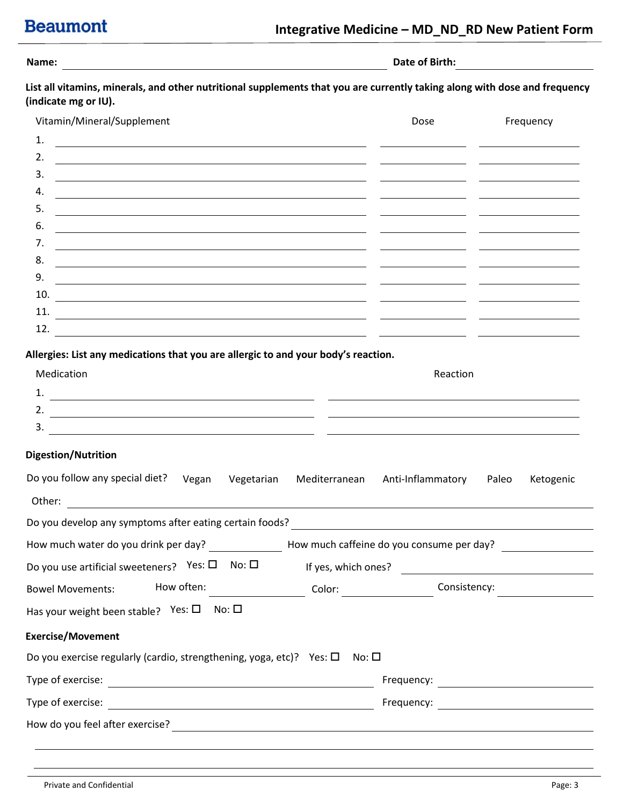| Name |  |           |
|------|--|-----------|
|      |  | $\bullet$ |

**Name: Date of Birth:** 

**List all vitamins, minerals, and other nutritional supplements that you are currently taking along with dose and frequency (indicate mg or IU).**

| Vitamin/Mineral/Supplement                                                                                                                                                                                                                 | Dose | Frequency |
|--------------------------------------------------------------------------------------------------------------------------------------------------------------------------------------------------------------------------------------------|------|-----------|
| 1.                                                                                                                                                                                                                                         |      |           |
| 2.<br><u> 1989 - Jan Salaman Salaman (j. 1989)</u>                                                                                                                                                                                         |      |           |
| 3.<br><u> 1989 - Andrea Andrew Maria (h. 1989).</u>                                                                                                                                                                                        |      |           |
| 4.                                                                                                                                                                                                                                         |      |           |
| 5.                                                                                                                                                                                                                                         |      |           |
| 6.                                                                                                                                                                                                                                         |      |           |
| 7.                                                                                                                                                                                                                                         |      |           |
| 8.<br><u>and the state of the state of the state of the state of the state of the state of the state of the state of the state of the state of the state of the state of the state of the state of the state of the state of the state</u> |      |           |
| 9.                                                                                                                                                                                                                                         |      |           |
| 10.                                                                                                                                                                                                                                        |      |           |
| 11.                                                                                                                                                                                                                                        |      |           |
| 12.                                                                                                                                                                                                                                        |      |           |

**Allergies: List any medications that you are allergic to and your body's reaction.** 

| Medication | Reaction |
|------------|----------|
| ᅩ.         |          |
| <u>.</u>   |          |
| ັ          |          |

### **Digestion/Nutrition**

| Do you follow any special diet? Vegan<br>Vegetarian                                                                              |       | Mediterranean Anti-Inflammatory                                                                                      | Paleo | Ketogenic |  |  |
|----------------------------------------------------------------------------------------------------------------------------------|-------|----------------------------------------------------------------------------------------------------------------------|-------|-----------|--|--|
| Other:<br><u> 1989 - Johann Stoff, deutscher Stoffen und der Stoffen und der Stoffen und der Stoffen und der Stoffen und der</u> |       |                                                                                                                      |       |           |  |  |
| Do you develop any symptoms after eating certain foods?                                                                          |       | <u> 1980 - Andrea Barbara, poeta esperanto-poeta esperanto-poeta esperanto-poeta esperanto-poeta esperanto-poeta</u> |       |           |  |  |
| How much water do you drink per day? __________________How much caffeine do you consume per day? _______                         |       |                                                                                                                      |       |           |  |  |
| Do you use artificial sweeteners? Yes: $\square$ No: $\square$                                                                   |       | If yes, which ones?                                                                                                  |       |           |  |  |
| How often: ___________________________________Color: ___________________________<br><b>Bowel Movements:</b>                      |       | Consistency:                                                                                                         |       |           |  |  |
| No: $\square$<br>Has your weight been stable? Yes: $\square$                                                                     |       |                                                                                                                      |       |           |  |  |
| <b>Exercise/Movement</b>                                                                                                         |       |                                                                                                                      |       |           |  |  |
| Do you exercise regularly (cardio, strengthening, yoga, etc)? Yes: $\Box$                                                        | No: □ |                                                                                                                      |       |           |  |  |
|                                                                                                                                  |       | Frequency:                                                                                                           |       |           |  |  |
|                                                                                                                                  |       |                                                                                                                      |       |           |  |  |
| How do you feel after exercise?                                                                                                  |       |                                                                                                                      |       |           |  |  |
|                                                                                                                                  |       |                                                                                                                      |       |           |  |  |
|                                                                                                                                  |       |                                                                                                                      |       |           |  |  |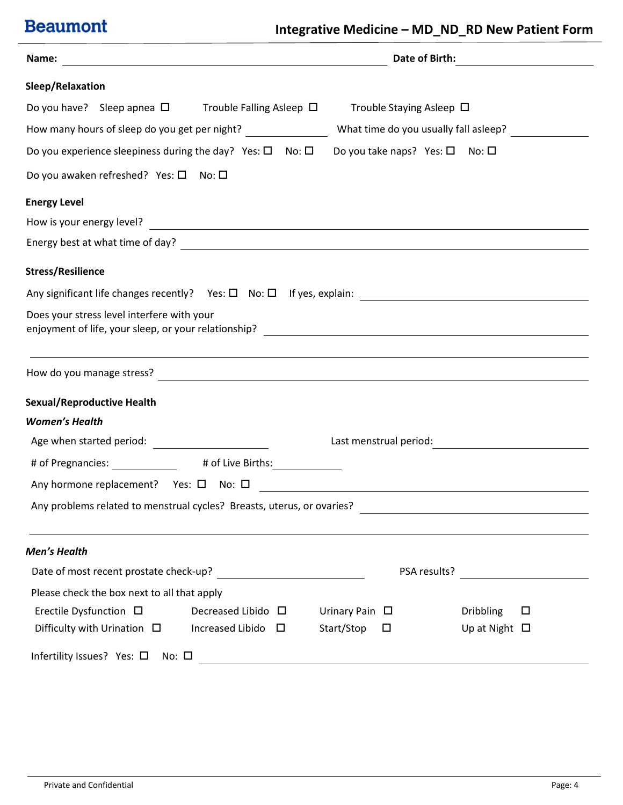| Name:<br><u> 1989 - Johann Barbara, martxa alemaniar amerikan a</u>                                                                                                                                                              |   |                        |                                                | Date of Birth: <u>______________________</u>             |
|----------------------------------------------------------------------------------------------------------------------------------------------------------------------------------------------------------------------------------|---|------------------------|------------------------------------------------|----------------------------------------------------------|
| Sleep/Relaxation                                                                                                                                                                                                                 |   |                        |                                                |                                                          |
| Do you have? Sleep apnea $\square$ Trouble Falling Asleep $\square$                                                                                                                                                              |   |                        | Trouble Staying Asleep $\Box$                  |                                                          |
| How many hours of sleep do you get per night? _________________                                                                                                                                                                  |   |                        |                                                | What time do you usually fall asleep?                    |
| Do you experience sleepiness during the day? Yes: $\square$ No: $\square$                                                                                                                                                        |   |                        | Do you take naps? Yes: $\square$ No: $\square$ |                                                          |
| Do you awaken refreshed? Yes: $\square$ No: $\square$                                                                                                                                                                            |   |                        |                                                |                                                          |
| <b>Energy Level</b>                                                                                                                                                                                                              |   |                        |                                                |                                                          |
| How is your energy level?<br>Moreover, and the set of the set of the set of the set of the set of the set of the set of the set of the set of the set of the set of the set of the set of the set of the set of the set of the s |   |                        |                                                |                                                          |
| Energy best at what time of day?                                                                                                                                                                                                 |   |                        |                                                |                                                          |
| <b>Stress/Resilience</b>                                                                                                                                                                                                         |   |                        |                                                |                                                          |
|                                                                                                                                                                                                                                  |   |                        |                                                |                                                          |
| Does your stress level interfere with your                                                                                                                                                                                       |   |                        |                                                |                                                          |
|                                                                                                                                                                                                                                  |   |                        |                                                |                                                          |
| <b>Sexual/Reproductive Health</b>                                                                                                                                                                                                |   |                        |                                                |                                                          |
| <b>Women's Health</b>                                                                                                                                                                                                            |   |                        |                                                |                                                          |
|                                                                                                                                                                                                                                  |   |                        |                                                | Last menstrual period:<br><u> Last menstrual</u> period: |
| # of Pregnancies: # of Live Births:                                                                                                                                                                                              |   |                        |                                                |                                                          |
|                                                                                                                                                                                                                                  |   |                        |                                                |                                                          |
| Any problems related to menstrual cycles? Breasts, uterus, or ovaries?                                                                                                                                                           |   |                        |                                                |                                                          |
| <b>Men's Health</b>                                                                                                                                                                                                              |   |                        |                                                |                                                          |
| Date of most recent prostate check-up?                                                                                                                                                                                           |   |                        | PSA results?                                   |                                                          |
| Please check the box next to all that apply                                                                                                                                                                                      |   |                        |                                                |                                                          |
| Erectile Dysfunction $\Box$<br>Decreased Libido $\Box$                                                                                                                                                                           |   | Urinary Pain $\square$ |                                                | <b>Dribbling</b><br>□                                    |
| Difficulty with Urination $\Box$<br><b>Increased Libido</b>                                                                                                                                                                      | □ | Start/Stop             | □                                              | Up at Night $\Box$                                       |
| Infertility Issues? Yes: □<br>No: $\square$                                                                                                                                                                                      |   |                        |                                                |                                                          |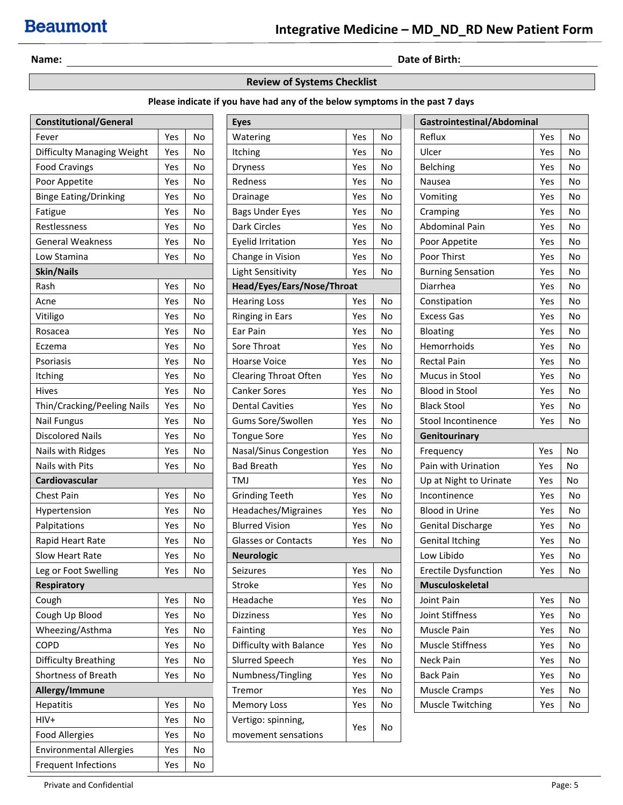**Name: Date of Birth: Date of Birth: Date of Birth: Date of Birth: Date of Birth: Date of Birth: Date of Birth: Date of Birth: Date of Birth: Date of Birth: Date of Birth: Date of Birth: Date of B** 

#### **Review of Systems Checklist**

### **Please indicate if you have had any of the below symptoms in the past 7 days**

| <b>Constitutional/General</b>  |     |           | <b>Eyes</b>                |     |           | Gastrointestinal/Abdominal |     |    |
|--------------------------------|-----|-----------|----------------------------|-----|-----------|----------------------------|-----|----|
| Fever                          | Yes | No        | Watering                   | Yes | No        | Reflux                     | Yes | No |
| Difficulty Managing Weight     | Yes | No        | Itching                    | Yes | No        | Ulcer                      | Yes | No |
| <b>Food Cravings</b>           | Yes | No        | <b>Dryness</b>             | Yes | No        | Belching                   | Yes | No |
| Poor Appetite                  | Yes | No        | Redness                    | Yes | No        | Nausea                     | Yes | No |
| <b>Binge Eating/Drinking</b>   | Yes | No        | Drainage                   | Yes | No        | Vomiting                   | Yes | No |
| Fatigue                        | Yes | No        | <b>Bags Under Eyes</b>     | Yes | No        | Cramping                   | Yes | No |
| Restlessness                   | Yes | No        | Dark Circles               | Yes | No        | Abdominal Pain             | Yes | No |
| <b>General Weakness</b>        | Yes | No        | <b>Eyelid Irritation</b>   | Yes | No        | Poor Appetite              | Yes | No |
| Low Stamina                    | Yes | <b>No</b> | Change in Vision           | Yes | No        | Poor Thirst                | Yes | No |
| <b>Skin/Nails</b>              |     |           | Light Sensitivity          | Yes | No        | <b>Burning Sensation</b>   | Yes | No |
| Rash                           | Yes | No        | Head/Eyes/Ears/Nose/Throat |     |           | Diarrhea                   | Yes | No |
| Acne                           | Yes | No        | <b>Hearing Loss</b>        | Yes | No        | Constipation               | Yes | No |
| Vitiligo                       | Yes | No        | <b>Ringing in Ears</b>     | Yes | No        | <b>Excess Gas</b>          | Yes | No |
| Rosacea                        | Yes | No        | Ear Pain                   | Yes | No        | Bloating                   | Yes | No |
| Eczema                         | Yes | No        | Sore Throat                | Yes | No        | Hemorrhoids                | Yes | No |
| Psoriasis                      | Yes | No        | <b>Hoarse Voice</b>        | Yes | <b>No</b> | <b>Rectal Pain</b>         | Yes | No |
| Itching                        | Yes | No        | Clearing Throat Often      | Yes | No        | Mucus in Stool             | Yes | No |
| Hives                          | Yes | No        | <b>Canker Sores</b>        | Yes | No        | <b>Blood in Stool</b>      | Yes | No |
| Thin/Cracking/Peeling Nails    | Yes | No        | <b>Dental Cavities</b>     | Yes | No        | <b>Black Stool</b>         | Yes | No |
| <b>Nail Fungus</b>             | Yes | No        | Gums Sore/Swollen          | Yes | No        | Stool Incontinence         | Yes | No |
| <b>Discolored Nails</b>        | Yes | No        | <b>Tongue Sore</b>         | Yes | No        | Genitourinary              |     |    |
| Nails with Ridges              | Yes | No        | Nasal/Sinus Congestion     | Yes | No        | Frequency                  | Yes | No |
| Nails with Pits                | Yes | No        | <b>Bad Breath</b>          | Yes | No        | Pain with Urination        | Yes | No |
| Cardiovascular                 |     |           | TMJ                        | Yes | No        | Up at Night to Urinate     | Yes | No |
| Chest Pain                     | Yes | No        | <b>Grinding Teeth</b>      | Yes | No        | Incontinence               | Yes | No |
| Hypertension                   | Yes | No        | Headaches/Migraines        | Yes | No        | <b>Blood in Urine</b>      | Yes | No |
| Palpitations                   | Yes | No        | <b>Blurred Vision</b>      | Yes | No        | Genital Discharge          | Yes | No |
| Rapid Heart Rate               | Yes | No        | <b>Glasses or Contacts</b> | Yes | No        | <b>Genital Itching</b>     | Yes | No |
| Slow Heart Rate                | Yes | No        | <b>Neurologic</b>          |     |           | Low Libido                 | Yes | No |
| Leg or Foot Swelling           | Yes | No        | Seizures                   | Yes | No        | Erectile Dysfunction       | Yes | No |
| <b>Respiratory</b>             |     |           | Stroke                     | Yes | No        | Musculoskeletal            |     |    |
| Cough                          | Yes | No        | Headache                   | Yes | No        | Joint Pain                 | Yes | No |
| Cough Up Blood                 | Yes | No        | <b>Dizziness</b>           | Yes | No        | Joint Stiffness            | Yes | No |
| Wheezing/Asthma                | Yes | No        | Fainting                   | Yes | No        | Muscle Pain                | Yes | No |
| COPD                           | Yes | No        | Difficulty with Balance    | Yes | No        | Muscle Stiffness           | Yes | No |
| <b>Difficulty Breathing</b>    | Yes | No        | Slurred Speech             | Yes | No        | Neck Pain                  | Yes | No |
| Shortness of Breath            | Yes | No        | Numbness/Tingling          | Yes | No        | <b>Back Pain</b>           | Yes | No |
| Allergy/Immune                 |     |           | Tremor                     | Yes | No        | <b>Muscle Cramps</b>       | Yes | No |
| <b>Hepatitis</b>               | Yes | No        | <b>Memory Loss</b>         | Yes | No        | <b>Muscle Twitching</b>    | Yes | No |
| HIV+                           | Yes | No        | Vertigo: spinning,         |     |           |                            |     |    |
| <b>Food Allergies</b>          | Yes | No        | movement sensations        | Yes | No        |                            |     |    |
| <b>Environmental Allergies</b> | Yes | No        |                            |     |           |                            |     |    |
| <b>Frequent Infections</b>     | Yes | No        |                            |     |           |                            |     |    |

| Eyes                       |     |    |  |
|----------------------------|-----|----|--|
| Watering                   | Yes | No |  |
| Itching                    | Yes | No |  |
| Dryness                    | Yes | No |  |
| Redness                    | Yes | No |  |
| Drainage                   | Yes | No |  |
| <b>Bags Under Eyes</b>     | Yes | No |  |
| <b>Dark Circles</b>        | Yes | No |  |
| <b>Eyelid Irritation</b>   | Yes | No |  |
| Change in Vision           | Yes | No |  |
| <b>Light Sensitivity</b>   | Yes | No |  |
| Head/Eyes/Ears/Nose/Throat |     |    |  |
| <b>Hearing Loss</b>        | Yes | No |  |
| <b>Ringing in Ears</b>     | Yes | No |  |
| Ear Pain                   | Yes | No |  |
| Sore Throat                | Yes | No |  |
| <b>Hoarse Voice</b>        | Yes | No |  |
| Clearing Throat Often      | Yes | No |  |
| <b>Canker Sores</b>        | Yes | No |  |
| <b>Dental Cavities</b>     | Yes | No |  |
| Gums Sore/Swollen          | Yes | No |  |
| <b>Tongue Sore</b>         | Yes | No |  |
| Nasal/Sinus Congestion     | Yes | No |  |
| <b>Bad Breath</b>          | Yes | No |  |
| TMJ                        | Yes | No |  |
| <b>Grinding Teeth</b>      | Yes | No |  |
| Headaches/Migraines        | Yes | No |  |
| <b>Blurred Vision</b>      | Yes | No |  |
| Glasses or Contacts        | Yes | No |  |
| <b>Neurologic</b>          |     |    |  |
| Seizures                   | Yes | No |  |
| Stroke                     | Yes | No |  |
| Headache                   | Yes | No |  |
| <b>Dizziness</b>           | Yes | No |  |
| Fainting                   | Yes | No |  |
| Difficulty with Balance    | Yes | No |  |
| <b>Slurred Speech</b>      | Yes | No |  |
| Numbness/Tingling          | Yes | No |  |
| Tremor                     | Yes | No |  |
| <b>Memory Loss</b>         | Yes | No |  |
| Vertigo: spinning,         | Yes |    |  |
| movement sensations        |     | No |  |

|                             | Gastrointestinal/Abdominal |    |  |  |  |  |
|-----------------------------|----------------------------|----|--|--|--|--|
| Reflux                      | Yes                        | No |  |  |  |  |
| Ulcer                       | Yes                        | No |  |  |  |  |
| Belching                    | Yes                        | No |  |  |  |  |
| Nausea                      | Yes                        | No |  |  |  |  |
| Vomiting                    | Yes                        | No |  |  |  |  |
| Cramping                    | Yes                        | No |  |  |  |  |
| Abdominal Pain              | Yes                        | No |  |  |  |  |
| Poor Appetite               | Yes                        | No |  |  |  |  |
| Poor Thirst                 | Yes                        | No |  |  |  |  |
| <b>Burning Sensation</b>    | Yes                        | No |  |  |  |  |
| Diarrhea                    | Yes                        | No |  |  |  |  |
| Constipation                | Yes                        | No |  |  |  |  |
| <b>Excess Gas</b>           | Yes                        | No |  |  |  |  |
| Bloating                    | Yes                        | No |  |  |  |  |
| Hemorrhoids                 | Yes                        | No |  |  |  |  |
| <b>Rectal Pain</b>          | Yes                        | No |  |  |  |  |
| Mucus in Stool              | Yes                        | No |  |  |  |  |
| <b>Blood in Stool</b>       | Yes                        | No |  |  |  |  |
| <b>Black Stool</b>          | Yes                        | No |  |  |  |  |
| Stool Incontinence          | Yes                        | No |  |  |  |  |
| Genitourinary               |                            |    |  |  |  |  |
| Frequency                   | Yes                        | No |  |  |  |  |
| Pain with Urination         | Yes                        | No |  |  |  |  |
| Up at Night to Urinate      | Yes                        | No |  |  |  |  |
| Incontinence                | Yes                        | No |  |  |  |  |
| <b>Blood in Urine</b>       | Yes                        | No |  |  |  |  |
| <b>Genital Discharge</b>    | Yes                        | No |  |  |  |  |
| <b>Genital Itching</b>      | Yes                        | No |  |  |  |  |
| Low Libido                  | Yes                        | No |  |  |  |  |
| <b>Erectile Dysfunction</b> | Yes                        | No |  |  |  |  |
| <b>Musculoskeletal</b>      |                            |    |  |  |  |  |
| Joint Pain                  | Yes                        | No |  |  |  |  |
| Joint Stiffness             | Yes                        | No |  |  |  |  |
| Muscle Pain                 | Yes                        | No |  |  |  |  |
| <b>Muscle Stiffness</b>     | Yes                        | No |  |  |  |  |
| Neck Pain                   | Yes                        | No |  |  |  |  |
|                             |                            |    |  |  |  |  |
| Back Pain                   | Yes                        | No |  |  |  |  |
| <b>Muscle Cramps</b>        | Yes                        | No |  |  |  |  |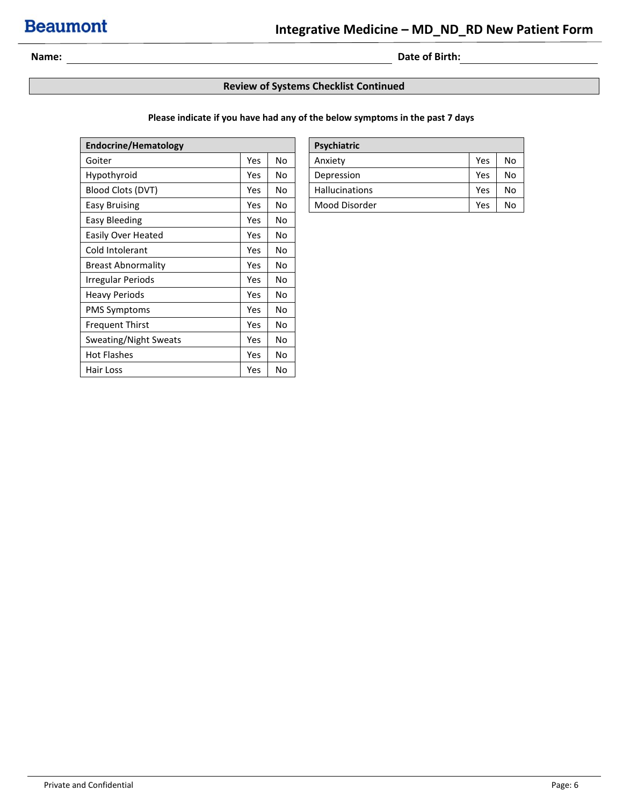### **Name: Date of Birth: Date of Birth: Date of Birth: Date of Birth:**

#### **Review of Systems Checklist Continued**

#### **Please indicate if you have had any of the below symptoms in the past 7 days**

| <b>Endocrine/Hematology</b> |            |     | Psychiatric           |            |    |
|-----------------------------|------------|-----|-----------------------|------------|----|
| Goiter                      | <b>Yes</b> | No  | Anxiety               | Yes        | No |
| Hypothyroid                 | <b>Yes</b> | No  | Depression            | <b>Yes</b> | No |
| Blood Clots (DVT)           | Yes.       | No. | <b>Hallucinations</b> | <b>Yes</b> | No |
| Easy Bruising               | Yes.       | No  | Mood Disorder         | Yes        | No |
| Easy Bleeding               | Yes        | No  |                       |            |    |
| Easily Over Heated          | Yes        | No. |                       |            |    |
| Cold Intolerant             | Yes.       | No  |                       |            |    |
| <b>Breast Abnormality</b>   | Yes        | No  |                       |            |    |
| Irregular Periods           | Yes        | No. |                       |            |    |
| <b>Heavy Periods</b>        | Yes        | No. |                       |            |    |
| <b>PMS Symptoms</b>         | Yes        | No  |                       |            |    |
| <b>Frequent Thirst</b>      | Yes        | No  |                       |            |    |
| Sweating/Night Sweats       | Yes        | No  |                       |            |    |
| <b>Hot Flashes</b>          | Yes.       | No  |                       |            |    |
| Hair Loss                   | Yes        | No  |                       |            |    |

| Psychiatric           |     |    |
|-----------------------|-----|----|
| Anxiety               | Yes | No |
| Depression            | Yes | No |
| <b>Hallucinations</b> | Yes | No |
| Mood Disorder         | Yes | N٥ |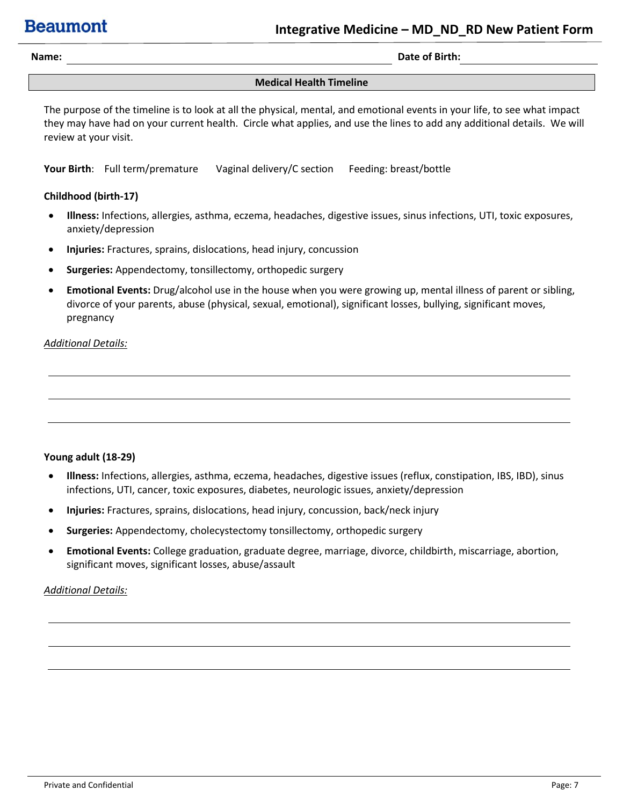**Name: Date of Birth:** 

#### **Medical Health Timeline**

The purpose of the timeline is to look at all the physical, mental, and emotional events in your life, to see what impact they may have had on your current health. Circle what applies, and use the lines to add any additional details. We will review at your visit.

**Your Birth**: Full term/premature Vaginal delivery/C section Feeding: breast/bottle

#### **Childhood (birth-17)**

- **Illness:** Infections, allergies, asthma, eczema, headaches, digestive issues, sinus infections, UTI, toxic exposures, anxiety/depression
- **Injuries:** Fractures, sprains, dislocations, head injury, concussion
- **Surgeries:** Appendectomy, tonsillectomy, orthopedic surgery
- **Emotional Events:** Drug/alcohol use in the house when you were growing up, mental illness of parent or sibling, divorce of your parents, abuse (physical, sexual, emotional), significant losses, bullying, significant moves, pregnancy

#### *Additional Details:*

#### **Young adult (18-29)**

- **Illness:** Infections, allergies, asthma, eczema, headaches, digestive issues (reflux, constipation, IBS, IBD), sinus infections, UTI, cancer, toxic exposures, diabetes, neurologic issues, anxiety/depression
- **Injuries:** Fractures, sprains, dislocations, head injury, concussion, back/neck injury
- **Surgeries:** Appendectomy, cholecystectomy tonsillectomy, orthopedic surgery
- **Emotional Events:** College graduation, graduate degree, marriage, divorce, childbirth, miscarriage, abortion, significant moves, significant losses, abuse/assault

#### *Additional Details:*